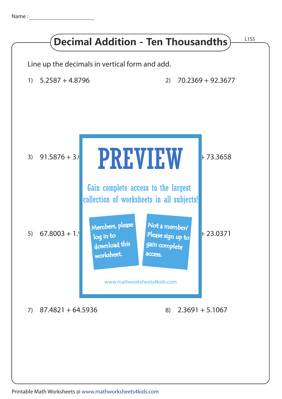